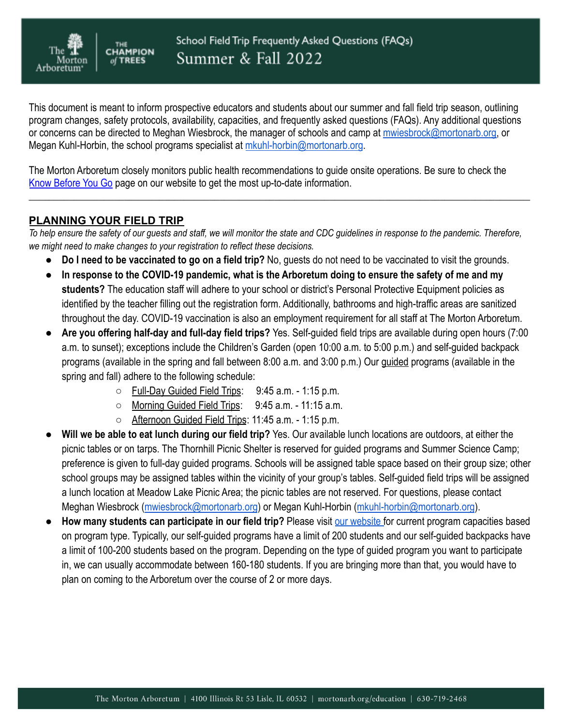

This document is meant to inform prospective educators and students about our summer and fall field trip season, outlining program changes, safety protocols, availability, capacities, and frequently asked questions (FAQs). Any additional questions or concerns can be directed to Meghan Wiesbrock, the manager of schools and camp at [mwiesbrock@mortonarb.org](mailto:mwiesbrock@mortonarb.org), or Megan Kuhl-Horbin, the school programs specialist at [mkuhl-horbin@mortonarb.org](mailto:mkuhl-horbin@mortonarb.org).

The Morton Arboretum closely monitors public health recommendations to guide onsite operations. Be sure to check the [Know Before You Go](https://mortonarb.org/visit-the-arboretum/know-before-you-go/) page on our website to get the most up-to-date information.

## **PLANNING YOUR FIELD TRIP**

**CHAMPION** 

**TREES** 

Arboretum

To help ensure the safety of our quests and staff, we will monitor the state and CDC quidelines in response to the pandemic. Therefore, *we might need to make changes to your registration to reflect these decisions.*

\_\_\_\_\_\_\_\_\_\_\_\_\_\_\_\_\_\_\_\_\_\_\_\_\_\_\_\_\_\_\_\_\_\_\_\_\_\_\_\_\_\_\_\_\_\_\_\_\_\_\_\_\_\_\_\_\_\_\_\_\_\_\_\_\_\_\_\_\_\_\_\_\_\_\_\_\_\_\_\_\_\_\_\_\_\_\_\_\_\_\_\_\_\_\_\_\_\_\_\_

- **Do I need to be vaccinated to go on a field trip?** No, guests do not need to be vaccinated to visit the grounds.
- **In response to the COVID-19 pandemic, what is the Arboretum doing to ensure the safety of me and my students?** The education staff will adhere to your school or district's Personal Protective Equipment policies as identified by the teacher filling out the registration form. Additionally, bathrooms and high-traffic areas are sanitized throughout the day. COVID-19 vaccination is also an employment requirement for all staff at The Morton Arboretum.
- **Are you offering half-day and full-day field trips?** Yes. Self-guided field trips are available during open hours (7:00 a.m. to sunset); exceptions include the Children's Garden (open 10:00 a.m. to 5:00 p.m.) and self-guided backpack programs (available in the spring and fall between 8:00 a.m. and 3:00 p.m.) Our guided programs (available in the spring and fall) adhere to the following schedule:
	- Full-Day Guided Field Trips: 9:45 a.m. 1:15 p.m.
	- Morning Guided Field Trips: 9:45 a.m. 11:15 a.m.
	- Afternoon Guided Field Trips: 11:45 a.m. 1:15 p.m.
- **Will we be able to eat lunch during our field trip?** Yes. Our available lunch locations are outdoors, at either the picnic tables or on tarps. The Thornhill Picnic Shelter is reserved for guided programs and Summer Science Camp; preference is given to full-day guided programs. Schools will be assigned table space based on their group size; other school groups may be assigned tables within the vicinity of your group's tables. Self-guided field trips will be assigned a lunch location at Meadow Lake Picnic Area; the picnic tables are not reserved. For questions, please contact Meghan Wiesbrock ([mwiesbrock@mortonarb.org](mailto:mwiesbrock@mortonarb.org)) or Megan Kuhl-Horbin ([mkuhl-horbin@mortonarb.org](mailto:mkuhl-horbin@mortonarb.org)).
- How many students can participate in our field trip? Please visit [our website](https://mortonarb.org/educators/field-trips) for current program capacities based on program type. Typically, our self-guided programs have a limit of 200 students and our self-guided backpacks have a limit of 100-200 students based on the program. Depending on the type of guided program you want to participate in, we can usually accommodate between 160-180 students. If you are bringing more than that, you would have to plan on coming to the Arboretum over the course of 2 or more days.